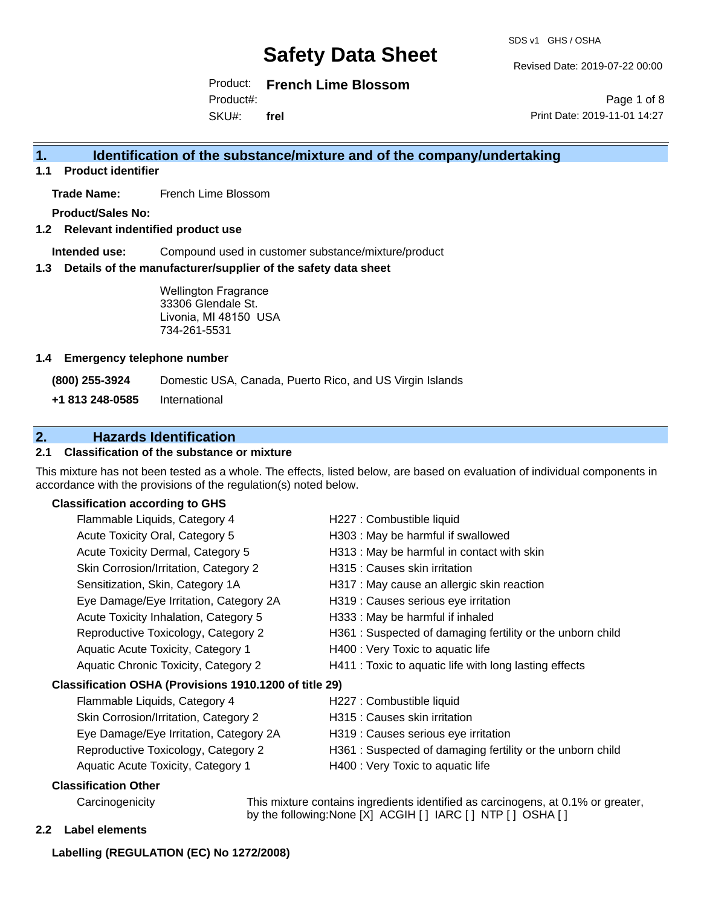SDS v1 GHS / OSHA

Revised Date: 2019-07-22 00:00

Product: **French Lime Blossom** Product#:

SKU#: **frel**

Page 1 of 8 Print Date: 2019-11-01 14:27

### **1. Identification of the substance/mixture and of the company/undertaking**

**1.1 Product identifier**

**Trade Name:** French Lime Blossom

**Product/Sales No:**

**1.2 Relevant indentified product use**

**Intended use:** Compound used in customer substance/mixture/product

**1.3 Details of the manufacturer/supplier of the safety data sheet**

Wellington Fragrance 33306 Glendale St. Livonia, MI 48150 USA 734-261-5531

#### **1.4 Emergency telephone number**

**(800) 255-3924** Domestic USA, Canada, Puerto Rico, and US Virgin Islands

**+1 813 248-0585** International

## **2. Hazards Identification**

#### **2.1 Classification of the substance or mixture**

This mixture has not been tested as a whole. The effects, listed below, are based on evaluation of individual components in accordance with the provisions of the regulation(s) noted below.

### **Classification according to GHS**

| Flammable Liquids, Category 4                          | H227 : Combustible liquid                                  |
|--------------------------------------------------------|------------------------------------------------------------|
| Acute Toxicity Oral, Category 5                        | H303 : May be harmful if swallowed                         |
| Acute Toxicity Dermal, Category 5                      | H313 : May be harmful in contact with skin                 |
| Skin Corrosion/Irritation, Category 2                  | H315 : Causes skin irritation                              |
| Sensitization, Skin, Category 1A                       | H317 : May cause an allergic skin reaction                 |
| Eye Damage/Eye Irritation, Category 2A                 | H319 : Causes serious eye irritation                       |
| Acute Toxicity Inhalation, Category 5                  | H333: May be harmful if inhaled                            |
| Reproductive Toxicology, Category 2                    | H361: Suspected of damaging fertility or the unborn child  |
| Aquatic Acute Toxicity, Category 1                     | H400 : Very Toxic to aquatic life                          |
| Aquatic Chronic Toxicity, Category 2                   | H411 : Toxic to aquatic life with long lasting effects     |
| Classification OSHA (Provisions 1910.1200 of title 29) |                                                            |
| Flammable Liquids, Category 4                          | H227 : Combustible liquid                                  |
| Skin Corrosion/Irritation, Category 2                  | H315 : Causes skin irritation                              |
| Eye Damage/Eye Irritation, Category 2A                 | H319 : Causes serious eye irritation                       |
| Reproductive Toxicology, Category 2                    | H361 : Suspected of damaging fertility or the unborn child |
| Aquatic Acute Toxicity, Category 1                     | H400 : Very Toxic to aquatic life                          |
| Classification Other                                   |                                                            |

Carcinogenicity This mixture contains ingredients identified as carcinogens, at 0.1% or greater, by the following:None [X] ACGIH [ ] IARC [ ] NTP [ ] OSHA [ ]

#### **2.2 Label elements**

#### **Labelling (REGULATION (EC) No 1272/2008)**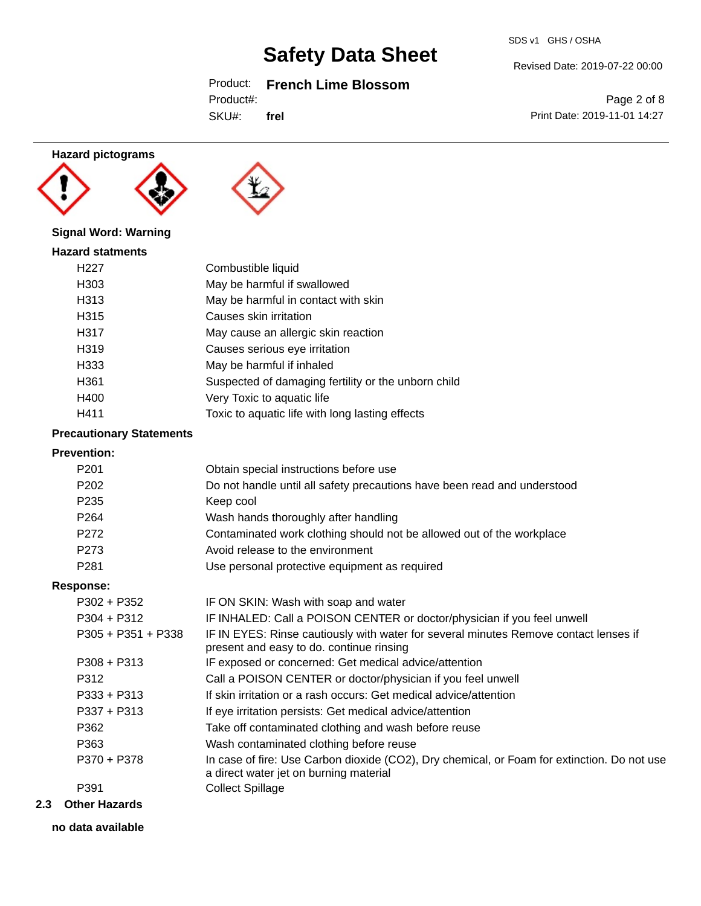SDS v1 GHS / OSHA

Revised Date: 2019-07-22 00:00

Print Date: 2019-11-01 14:27

Page 2 of 8

## Product: **French Lime Blossom**

Product#:

SKU#: **frel**

## **Hazard pictograms**





### **Signal Word: Warning**

| <b>Hazard statments</b> |                                                     |
|-------------------------|-----------------------------------------------------|
| H <sub>22</sub> 7       | Combustible liquid                                  |
| H303                    | May be harmful if swallowed                         |
| H313                    | May be harmful in contact with skin                 |
| H315                    | Causes skin irritation                              |
| H317                    | May cause an allergic skin reaction                 |
| H319                    | Causes serious eye irritation                       |
| H333                    | May be harmful if inhaled                           |
| H361                    | Suspected of damaging fertility or the unborn child |
| H400                    | Very Toxic to aquatic life                          |
| H411                    | Toxic to aquatic life with long lasting effects     |

### **Precautionary Statements**

## **Prevention:**

| FIEVENUOH.           |                                                                                                                                       |
|----------------------|---------------------------------------------------------------------------------------------------------------------------------------|
| P <sub>201</sub>     | Obtain special instructions before use                                                                                                |
| P <sub>202</sub>     | Do not handle until all safety precautions have been read and understood                                                              |
| P <sub>235</sub>     | Keep cool                                                                                                                             |
| P <sub>264</sub>     | Wash hands thoroughly after handling                                                                                                  |
| P272                 | Contaminated work clothing should not be allowed out of the workplace                                                                 |
| P273                 | Avoid release to the environment                                                                                                      |
| P <sub>281</sub>     | Use personal protective equipment as required                                                                                         |
| <b>Response:</b>     |                                                                                                                                       |
| $P302 + P352$        | IF ON SKIN: Wash with soap and water                                                                                                  |
| $P304 + P312$        | IF INHALED: Call a POISON CENTER or doctor/physician if you feel unwell                                                               |
| $P305 + P351 + P338$ | IF IN EYES: Rinse cautiously with water for several minutes Remove contact lenses if<br>present and easy to do. continue rinsing      |
| $P308 + P313$        | IF exposed or concerned: Get medical advice/attention                                                                                 |
| P312                 | Call a POISON CENTER or doctor/physician if you feel unwell                                                                           |
| $P333 + P313$        | If skin irritation or a rash occurs: Get medical advice/attention                                                                     |
| $P337 + P313$        | If eye irritation persists: Get medical advice/attention                                                                              |
| P362                 | Take off contaminated clothing and wash before reuse                                                                                  |
| P363                 | Wash contaminated clothing before reuse                                                                                               |
| P370 + P378          | In case of fire: Use Carbon dioxide (CO2), Dry chemical, or Foam for extinction. Do not use<br>a direct water jet on burning material |
| P391                 | <b>Collect Spillage</b>                                                                                                               |

### **2.3 Other Hazards**

**no data available**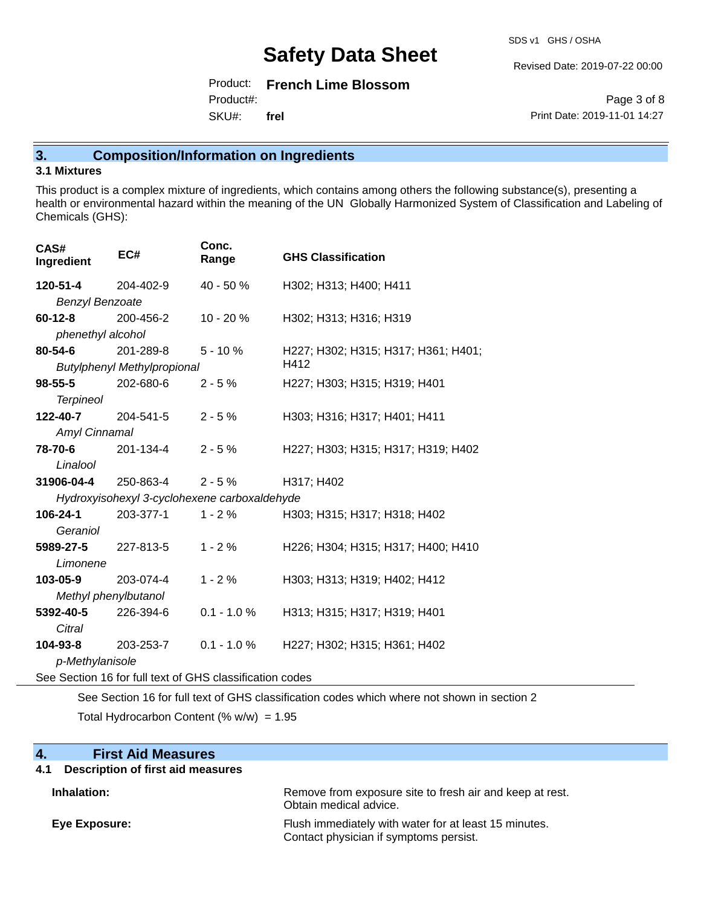SDS v1 GHS / OSHA

Revised Date: 2019-07-22 00:00

Product: **French Lime Blossom** SKU#: Product#: **frel**

Page 3 of 8 Print Date: 2019-11-01 14:27

## **3. Composition/Information on Ingredients**

#### **3.1 Mixtures**

This product is a complex mixture of ingredients, which contains among others the following substance(s), presenting a health or environmental hazard within the meaning of the UN Globally Harmonized System of Classification and Labeling of Chemicals (GHS):

| CAS#<br>Ingredient   |                        | EC#                                          | Conc.<br>Range | <b>GHS Classification</b>           |
|----------------------|------------------------|----------------------------------------------|----------------|-------------------------------------|
| 120-51-4             |                        | 204-402-9                                    | $40 - 50%$     | H302; H313; H400; H411              |
|                      | <b>Benzyl Benzoate</b> |                                              |                |                                     |
| $60 - 12 - 8$        |                        | 200-456-2                                    | $10 - 20 \%$   | H302; H313; H316; H319              |
|                      |                        | phenethyl alcohol                            |                |                                     |
| 80-54-6              |                        | 201-289-8                                    | $5 - 10 \%$    | H227; H302; H315; H317; H361; H401; |
|                      |                        | <b>Butylphenyl Methylpropional</b>           |                | H412                                |
| $98 - 55 - 5$        |                        | 202-680-6                                    | $2 - 5%$       | H227; H303; H315; H319; H401        |
| <b>Terpineol</b>     |                        |                                              |                |                                     |
|                      |                        | 122-40-7 204-541-5                           | $2 - 5%$       | H303; H316; H317; H401; H411        |
|                      | Amyl Cinnamal          |                                              |                |                                     |
| 78-70-6              |                        | 201-134-4                                    | $2 - 5%$       | H227; H303; H315; H317; H319; H402  |
| Linalool             |                        |                                              |                |                                     |
|                      |                        | <b>31906-04-4</b> 250-863-4                  | $2 - 5\%$      | H317; H402                          |
|                      |                        | Hydroxyisohexyl 3-cyclohexene carboxaldehyde |                |                                     |
| 106-24-1             |                        | 203-377-1                                    | $1 - 2%$       | H303; H315; H317; H318; H402        |
| Geraniol             |                        |                                              |                |                                     |
| 5989-27-5            |                        | 227-813-5                                    | $1 - 2 \%$     | H226; H304; H315; H317; H400; H410  |
|                      | Limonene               |                                              |                |                                     |
| 103-05-9             |                        | 203-074-4                                    | $1 - 2%$       | H303; H313; H319; H402; H412        |
| Methyl phenylbutanol |                        |                                              |                |                                     |
| 5392-40-5            |                        | 226-394-6                                    | $0.1 - 1.0 %$  | H313; H315; H317; H319; H401        |
|                      | Citral                 |                                              |                |                                     |
|                      |                        | <b>104-93-8</b> 203-253-7                    | $0.1 - 1.0 %$  | H227; H302; H315; H361; H402        |
|                      | p-Methylanisole        |                                              |                |                                     |

See Section 16 for full text of GHS classification codes

See Section 16 for full text of GHS classification codes which where not shown in section 2 Total Hydrocarbon Content  $(% \mathcal{O}_{N})$  = 1.95

| 4.<br><b>First Aid Measures</b>          |                                                                                                 |
|------------------------------------------|-------------------------------------------------------------------------------------------------|
| Description of first aid measures<br>4.1 |                                                                                                 |
| Inhalation:                              | Remove from exposure site to fresh air and keep at rest.<br>Obtain medical advice.              |
| Eye Exposure:                            | Flush immediately with water for at least 15 minutes.<br>Contact physician if symptoms persist. |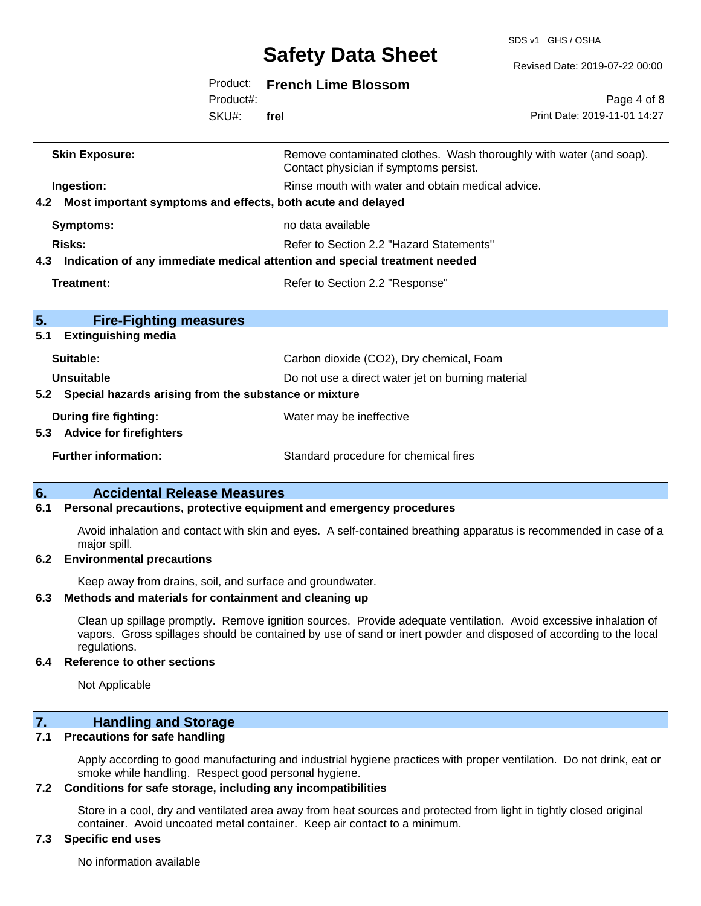SDS v1 GHS / OSHA

|                                                              |           | <b>Safety Data Sheet</b>                                                       | Revised Date: 2019-07-22 00:00                                      |
|--------------------------------------------------------------|-----------|--------------------------------------------------------------------------------|---------------------------------------------------------------------|
|                                                              | Product:  | <b>French Lime Blossom</b>                                                     |                                                                     |
|                                                              | Product#: |                                                                                | Page 4 of 8                                                         |
|                                                              | SKU#:     | frel                                                                           | Print Date: 2019-11-01 14:27                                        |
| <b>Skin Exposure:</b>                                        |           | Contact physician if symptoms persist.                                         | Remove contaminated clothes. Wash thoroughly with water (and soap). |
| Ingestion:                                                   |           | Rinse mouth with water and obtain medical advice.                              |                                                                     |
| 4.2                                                          |           | Most important symptoms and effects, both acute and delayed                    |                                                                     |
| <b>Symptoms:</b>                                             |           | no data available                                                              |                                                                     |
| Risks:                                                       |           | Refer to Section 2.2 "Hazard Statements"                                       |                                                                     |
|                                                              |           | 4.3 Indication of any immediate medical attention and special treatment needed |                                                                     |
| <b>Treatment:</b>                                            |           | Refer to Section 2.2 "Response"                                                |                                                                     |
| 5.<br><b>Fire-Fighting measures</b>                          |           |                                                                                |                                                                     |
| <b>Extinguishing media</b><br>5.1                            |           |                                                                                |                                                                     |
| Suitable:                                                    |           | Carbon dioxide (CO2), Dry chemical, Foam                                       |                                                                     |
| <b>Unsuitable</b>                                            |           | Do not use a direct water jet on burning material                              |                                                                     |
| Special hazards arising from the substance or mixture<br>5.2 |           |                                                                                |                                                                     |
| <b>During fire fighting:</b>                                 |           | Water may be ineffective                                                       |                                                                     |
| 5.3 Advice for firefighters                                  |           |                                                                                |                                                                     |
| <b>Further information:</b>                                  |           | Standard procedure for chemical fires                                          |                                                                     |
| .                                                            |           |                                                                                |                                                                     |

## **6. Accidental Release Measures**

#### **6.1 Personal precautions, protective equipment and emergency procedures**

Avoid inhalation and contact with skin and eyes. A self-contained breathing apparatus is recommended in case of a major spill.

#### **6.2 Environmental precautions**

Keep away from drains, soil, and surface and groundwater.

#### **6.3 Methods and materials for containment and cleaning up**

Clean up spillage promptly. Remove ignition sources. Provide adequate ventilation. Avoid excessive inhalation of vapors. Gross spillages should be contained by use of sand or inert powder and disposed of according to the local regulations.

#### **6.4 Reference to other sections**

Not Applicable

### **7. Handling and Storage**

#### **7.1 Precautions for safe handling**

Apply according to good manufacturing and industrial hygiene practices with proper ventilation. Do not drink, eat or smoke while handling. Respect good personal hygiene.

#### **7.2 Conditions for safe storage, including any incompatibilities**

Store in a cool, dry and ventilated area away from heat sources and protected from light in tightly closed original container. Avoid uncoated metal container. Keep air contact to a minimum.

#### **7.3 Specific end uses**

No information available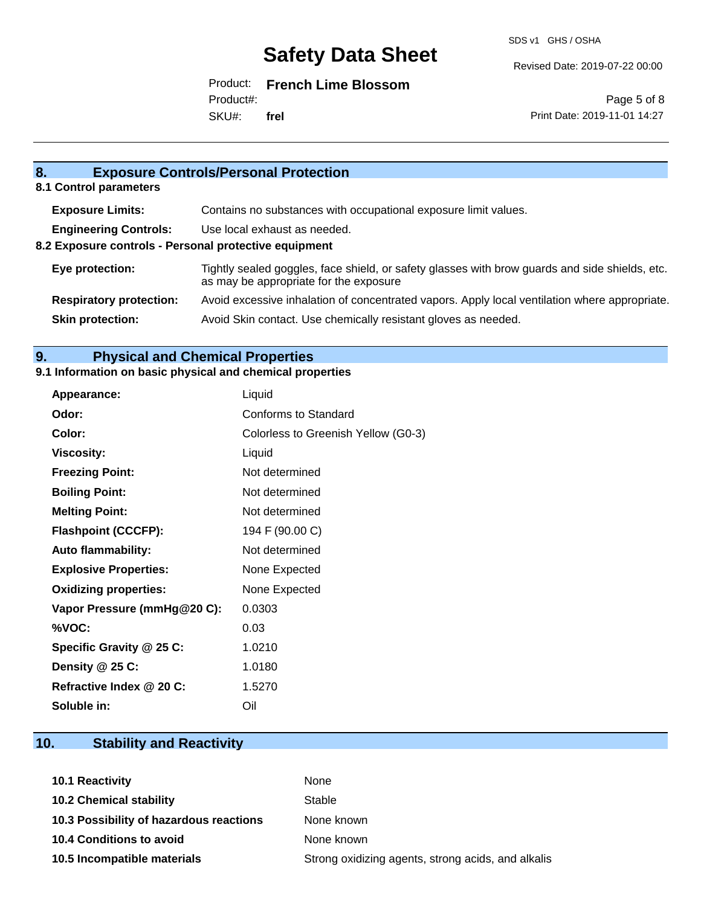Revised Date: 2019-07-22 00:00

Product: **French Lime Blossom**

SKU#: Product#: **frel**

Page 5 of 8 Print Date: 2019-11-01 14:27

## **8. Exposure Controls/Personal Protection 8.1 Control parameters Exposure Limits:** Contains no substances with occupational exposure limit values. **Engineering Controls:** Use local exhaust as needed. **8.2 Exposure controls - Personal protective equipment Eye protection:** Tightly sealed goggles, face shield, or safety glasses with brow guards and side shields, etc. as may be appropriate for the exposure **Respiratory protection:** Avoid excessive inhalation of concentrated vapors. Apply local ventilation where appropriate. **Skin protection:** Avoid Skin contact. Use chemically resistant gloves as needed.

### **9. Physical and Chemical Properties**

#### **9.1 Information on basic physical and chemical properties**

| Appearance:                  | Liquid                              |
|------------------------------|-------------------------------------|
| Odor:                        | <b>Conforms to Standard</b>         |
| Color:                       | Colorless to Greenish Yellow (G0-3) |
| <b>Viscosity:</b>            | Liquid                              |
| <b>Freezing Point:</b>       | Not determined                      |
| <b>Boiling Point:</b>        | Not determined                      |
| <b>Melting Point:</b>        | Not determined                      |
| <b>Flashpoint (CCCFP):</b>   | 194 F (90.00 C)                     |
| <b>Auto flammability:</b>    | Not determined                      |
| <b>Explosive Properties:</b> | None Expected                       |
| <b>Oxidizing properties:</b> | None Expected                       |
| Vapor Pressure (mmHg@20 C):  | 0.0303                              |
| %VOC:                        | 0.03                                |
| Specific Gravity @ 25 C:     | 1.0210                              |
| Density @ 25 C:              | 1.0180                              |
| Refractive Index @ 20 C:     | 1.5270                              |
| Soluble in:                  | Oil                                 |

### **10. Stability and Reactivity**

| 10.1 Reactivity                         | None                                               |
|-----------------------------------------|----------------------------------------------------|
| <b>10.2 Chemical stability</b>          | Stable                                             |
| 10.3 Possibility of hazardous reactions | None known                                         |
| 10.4 Conditions to avoid                | None known                                         |
| 10.5 Incompatible materials             | Strong oxidizing agents, strong acids, and alkalis |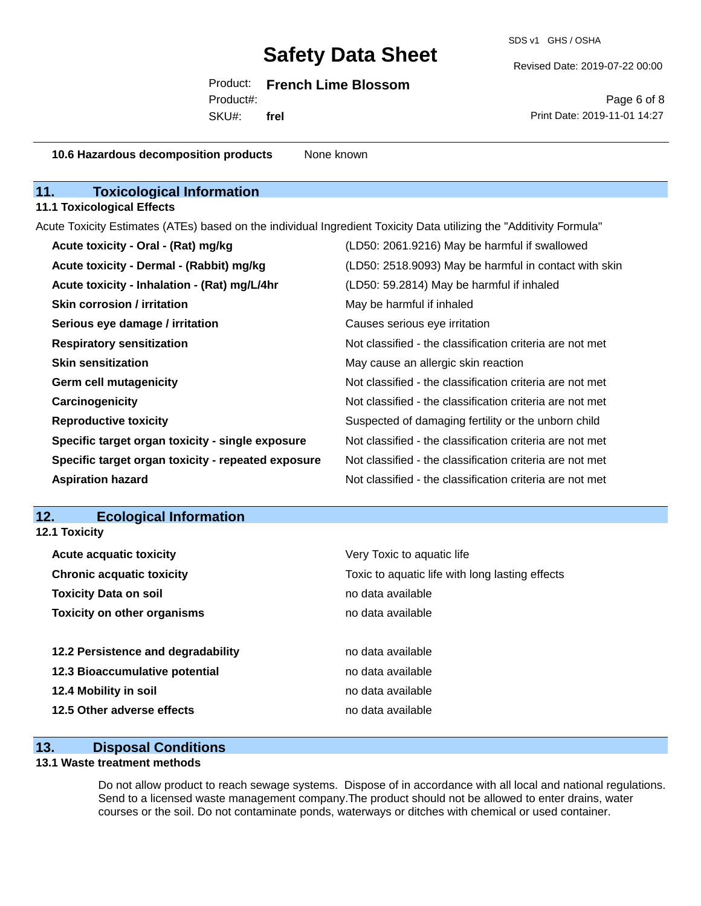SDS v1 GHS / OSHA

Revised Date: 2019-07-22 00:00

#### Product: **French Lime Blossom**

SKU#: Product#: **frel**

Page 6 of 8 Print Date: 2019-11-01 14:27

| 10.6 Hazardous decomposition products                                                                               | None known                                               |
|---------------------------------------------------------------------------------------------------------------------|----------------------------------------------------------|
| <b>Toxicological Information</b><br>11.                                                                             |                                                          |
| <b>11.1 Toxicological Effects</b>                                                                                   |                                                          |
| Acute Toxicity Estimates (ATEs) based on the individual Ingredient Toxicity Data utilizing the "Additivity Formula" |                                                          |
| Acute toxicity - Oral - (Rat) mg/kg                                                                                 | (LD50: 2061.9216) May be harmful if swallowed            |
| Acute toxicity - Dermal - (Rabbit) mg/kg                                                                            | (LD50: 2518.9093) May be harmful in contact with skin    |
| Acute toxicity - Inhalation - (Rat) mg/L/4hr                                                                        | (LD50: 59.2814) May be harmful if inhaled                |
| <b>Skin corrosion / irritation</b>                                                                                  | May be harmful if inhaled                                |
| Serious eye damage / irritation                                                                                     | Causes serious eye irritation                            |
| <b>Respiratory sensitization</b>                                                                                    | Not classified - the classification criteria are not met |
| <b>Skin sensitization</b>                                                                                           | May cause an allergic skin reaction                      |
| <b>Germ cell mutagenicity</b>                                                                                       | Not classified - the classification criteria are not met |
| Carcinogenicity                                                                                                     | Not classified - the classification criteria are not met |
| <b>Reproductive toxicity</b>                                                                                        | Suspected of damaging fertility or the unborn child      |
| Specific target organ toxicity - single exposure                                                                    | Not classified - the classification criteria are not met |
| Specific target organ toxicity - repeated exposure                                                                  | Not classified - the classification criteria are not met |
| <b>Aspiration hazard</b>                                                                                            | Not classified - the classification criteria are not met |
|                                                                                                                     |                                                          |
| 12.<br><b>Ecological Information</b>                                                                                |                                                          |
| 12.1 Toxicity                                                                                                       |                                                          |
| <b>Acute acquatic toxicity</b>                                                                                      | Very Toxic to aquatic life                               |
| <b>Chronic acquatic toxicity</b>                                                                                    | Toxic to aquatic life with long lasting effects          |
| <b>Toxicity Data on soil</b>                                                                                        | no data available                                        |
| <b>Toxicity on other organisms</b>                                                                                  | no data available                                        |
| 12.2 Persistence and degradability                                                                                  | no data available                                        |
| 12.3 Bioaccumulative potential                                                                                      | no data available                                        |
| 12.4 Mobility in soil                                                                                               | no data available                                        |

### **13. Disposal Conditions**

**12.5 Other adverse effects** no data available

#### **13.1 Waste treatment methods**

Do not allow product to reach sewage systems. Dispose of in accordance with all local and national regulations. Send to a licensed waste management company.The product should not be allowed to enter drains, water courses or the soil. Do not contaminate ponds, waterways or ditches with chemical or used container.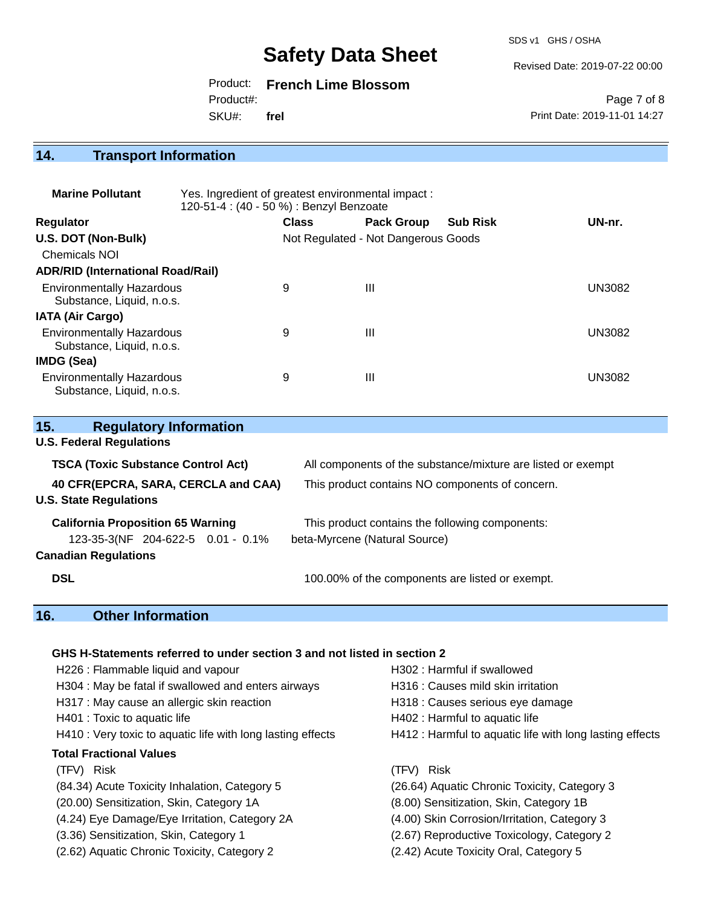SDS v1 GHS / OSHA

Revised Date: 2019-07-22 00:00

Product: **French Lime Blossom**

Product#:

SKU#: **frel**

Page 7 of 8 Print Date: 2019-11-01 14:27

# **14. Transport Information**

| <b>Marine Pollutant</b>                                       | Yes. Ingredient of greatest environmental impact:<br>120-51-4 : (40 - 50 %) : Benzyl Benzoate |              |                                     |                 |        |
|---------------------------------------------------------------|-----------------------------------------------------------------------------------------------|--------------|-------------------------------------|-----------------|--------|
| <b>Regulator</b>                                              |                                                                                               | <b>Class</b> | <b>Pack Group</b>                   | <b>Sub Risk</b> | UN-nr. |
| U.S. DOT (Non-Bulk)                                           |                                                                                               |              | Not Regulated - Not Dangerous Goods |                 |        |
| <b>Chemicals NOI</b>                                          |                                                                                               |              |                                     |                 |        |
| <b>ADR/RID (International Road/Rail)</b>                      |                                                                                               |              |                                     |                 |        |
| <b>Environmentally Hazardous</b><br>Substance, Liquid, n.o.s. |                                                                                               | 9            | Ш                                   |                 | UN3082 |
| <b>IATA (Air Cargo)</b>                                       |                                                                                               |              |                                     |                 |        |
| <b>Environmentally Hazardous</b><br>Substance, Liquid, n.o.s. |                                                                                               | 9            | $\mathbf{III}$                      |                 | UN3082 |
| IMDG (Sea)                                                    |                                                                                               |              |                                     |                 |        |
| <b>Environmentally Hazardous</b><br>Substance, Liquid, n.o.s. |                                                                                               | 9            | Ш                                   |                 | UN3082 |

| 15.<br><b>Regulatory Information</b>                                 |                                                              |
|----------------------------------------------------------------------|--------------------------------------------------------------|
| <b>U.S. Federal Regulations</b>                                      |                                                              |
| <b>TSCA (Toxic Substance Control Act)</b>                            | All components of the substance/mixture are listed or exempt |
| 40 CFR(EPCRA, SARA, CERCLA and CAA)<br><b>U.S. State Regulations</b> | This product contains NO components of concern.              |
| <b>California Proposition 65 Warning</b>                             | This product contains the following components:              |
| 123-35-3(NF 204-622-5 0.01 - 0.1%                                    | beta-Myrcene (Natural Source)                                |
| <b>Canadian Regulations</b>                                          |                                                              |
| <b>DSL</b>                                                           | 100.00% of the components are listed or exempt.              |

## **16. Other Information**

#### **GHS H-Statements referred to under section 3 and not listed in section 2**

| H226 : Flammable liquid and vapour                          | H302: Harmful if swallowed                               |
|-------------------------------------------------------------|----------------------------------------------------------|
| H304 : May be fatal if swallowed and enters airways         | H316 : Causes mild skin irritation                       |
| H317 : May cause an allergic skin reaction                  | H318 : Causes serious eye damage                         |
| H401 : Toxic to aquatic life                                | H402 : Harmful to aquatic life                           |
| H410 : Very toxic to aquatic life with long lasting effects | H412 : Harmful to aquatic life with long lasting effects |
| <b>Total Fractional Values</b>                              |                                                          |
| (TFV) Risk                                                  | (TFV) Risk                                               |
| (84.34) Acute Toxicity Inhalation, Category 5               | (26.64) Aquatic Chronic Toxicity, Category 3             |
| (20.00) Sensitization, Skin, Category 1A                    | (8.00) Sensitization, Skin, Category 1B                  |
| (4.24) Eye Damage/Eye Irritation, Category 2A               | (4.00) Skin Corrosion/Irritation, Category 3             |
| (3.36) Sensitization, Skin, Category 1                      | (2.67) Reproductive Toxicology, Category 2               |
| (2.62) Aquatic Chronic Toxicity, Category 2                 | (2.42) Acute Toxicity Oral, Category 5                   |
|                                                             |                                                          |